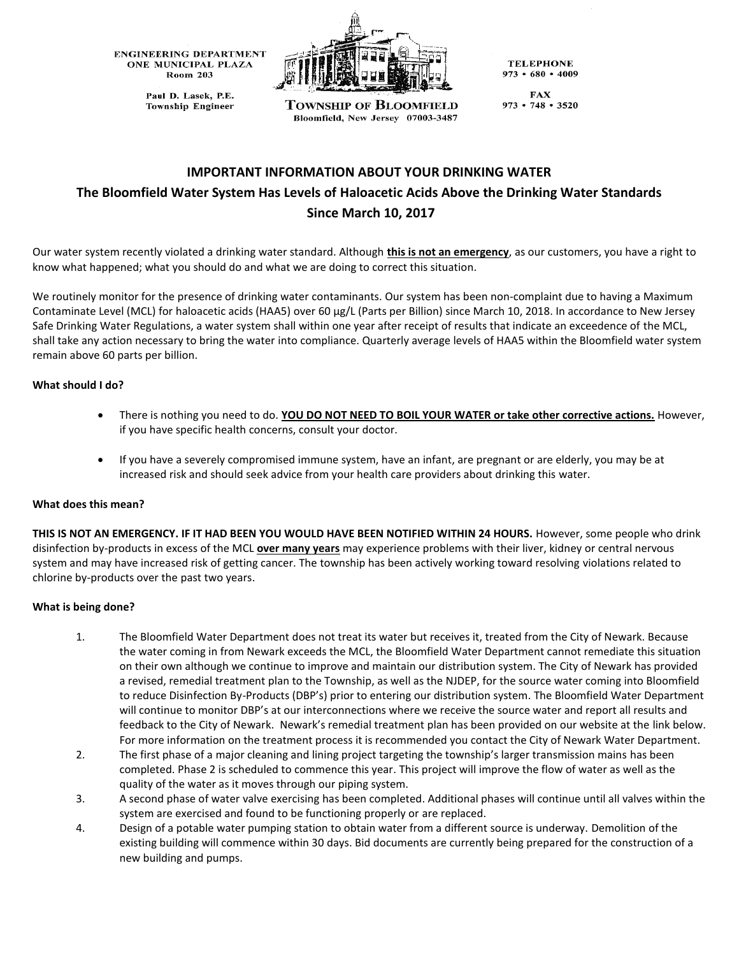**ENGINEERING DEPARTMENT** ONE MUNICIPAL PLAZA **Room 203** 

> Paul D. Lasek, P.E. **Township Engineer**



**Township of Bloomfield** Bloomfield, New Jersey 07003-3487

**TELEPHONE**  $973 \cdot 680 \cdot 4009$ 

**FAX**  $973 \cdot 748 \cdot 3520$ 

# **IMPORTANT INFORMATION ABOUT YOUR DRINKING WATER The Bloomfield Water System Has Levels of Haloacetic Acids Above the Drinking Water Standards Since March 10, 2017**

Our water system recently violated a drinking water standard. Although **this is not an emergency**, as our customers, you have a right to know what happened; what you should do and what we are doing to correct this situation.

We routinely monitor for the presence of drinking water contaminants. Our system has been non-complaint due to having a Maximum Contaminate Level (MCL) for haloacetic acids (HAA5) over 60 µg/L (Parts per Billion) since March 10, 2018. In accordance to New Jersey Safe Drinking Water Regulations, a water system shall within one year after receipt of results that indicate an exceedence of the MCL, shall take any action necessary to bring the water into compliance. Quarterly average levels of HAA5 within the Bloomfield water system remain above 60 parts per billion.

## **What should I do?**

- There is nothing you need to do. **YOU DO NOT NEED TO BOIL YOUR WATER or take other corrective actions.** However, if you have specific health concerns, consult your doctor.
- If you have a severely compromised immune system, have an infant, are pregnant or are elderly, you may be at increased risk and should seek advice from your health care providers about drinking this water.

#### **What does this mean?**

**THIS IS NOT AN EMERGENCY. IF IT HAD BEEN YOU WOULD HAVE BEEN NOTIFIED WITHIN 24 HOURS.** However, some people who drink disinfection by-products in excess of the MCL **over many years** may experience problems with their liver, kidney or central nervous system and may have increased risk of getting cancer. The township has been actively working toward resolving violations related to chlorine by-products over the past two years.

## **What is being done?**

- 1. The Bloomfield Water Department does not treat its water but receives it, treated from the City of Newark. Because the water coming in from Newark exceeds the MCL, the Bloomfield Water Department cannot remediate this situation on their own although we continue to improve and maintain our distribution system. The City of Newark has provided a revised, remedial treatment plan to the Township, as well as the NJDEP, for the source water coming into Bloomfield to reduce Disinfection By-Products (DBP's) prior to entering our distribution system. The Bloomfield Water Department will continue to monitor DBP's at our interconnections where we receive the source water and report all results and feedback to the City of Newark. Newark's remedial treatment plan has been provided on our website at the link below. For more information on the treatment process it is recommended you contact the City of Newark Water Department.
- 2. The first phase of a major cleaning and lining project targeting the township's larger transmission mains has been completed. Phase 2 is scheduled to commence this year. This project will improve the flow of water as well as the quality of the water as it moves through our piping system.
- 3. A second phase of water valve exercising has been completed. Additional phases will continue until all valves within the system are exercised and found to be functioning properly or are replaced.
- 4. Design of a potable water pumping station to obtain water from a different source is underway. Demolition of the existing building will commence within 30 days. Bid documents are currently being prepared for the construction of a new building and pumps.